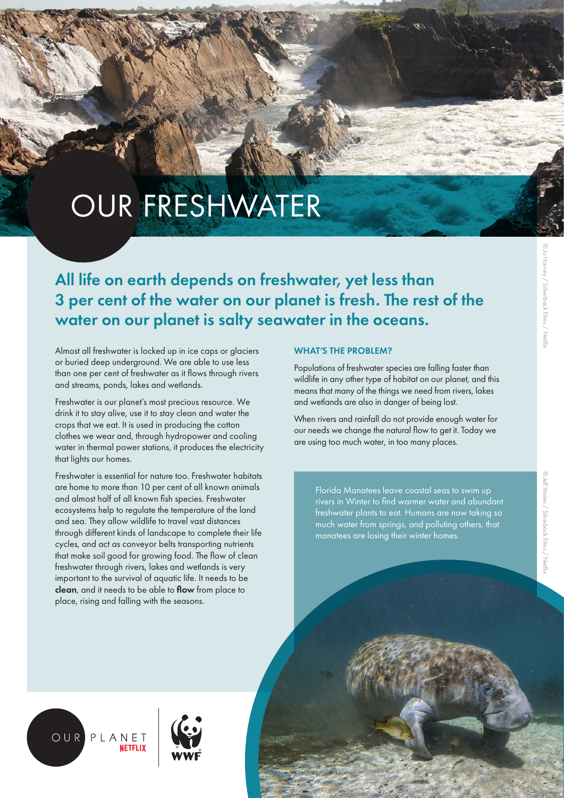# OUR FRESHWATER

All life on earth depends on freshwater, yet less than 3 per cent of the water on our planet is fresh. The rest of the water on our planet is salty seawater in the oceans.

Almost all freshwater is locked up in ice caps or glaciers or buried deep underground. We are able to use less than one per cent of freshwater as it flows through rivers and streams, ponds, lakes and wetlands.

Freshwater is our planet's most precious resource. We drink it to stay alive, use it to stay clean and water the crops that we eat. It is used in producing the cotton clothes we wear and, through hydropower and cooling water in thermal power stations, it produces the electricity that lights our homes.

Freshwater is essential for nature too. Freshwater habitats are home to more than 10 per cent of all known animals and almost half of all known fish species. Freshwater ecosystems help to regulate the temperature of the land and sea. They allow wildlife to travel vast distances through different kinds of landscape to complete their life cycles, and act as conveyor belts transporting nutrients that make soil good for growing food. The flow of clean freshwater through rivers, lakes and wetlands is very important to the survival of aquatic life. It needs to be clean, and it needs to be able to flow from place to place, rising and falling with the seasons.

## WHAT'S THE PROBLEM?

Populations of freshwater species are falling faster than wildlife in any other type of habitat on our planet, and this means that many of the things we need from rivers, lakes and wetlands are also in danger of being lost.

When rivers and rainfall do not provide enough water for our needs we change the natural flow to get it. Today we are using too much water, in too many places.

> Florida Manatees leave coastal seas to swim up rivers in Winter to find warmer water and abundant freshwater plants to eat. Humans are now taking so much water from springs, and polluting others, that manatees are losing their winter homes.



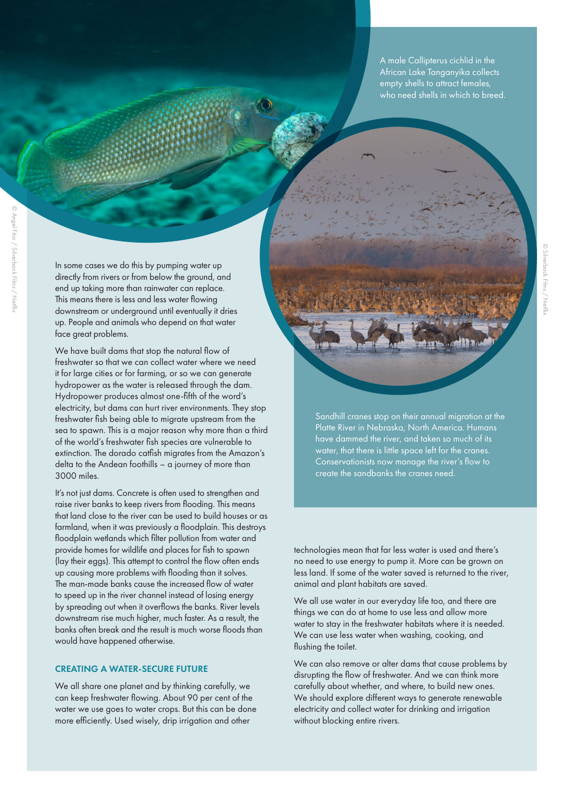A male Callipterus cichlid in the African Lake Tanganyika collects empty shells to attract females, who need shells in which to breed.

In some cases we do this by pumping water up directly from rivers or from below the ground, and end up taking more than rainwater can replace. This means there is less and less water flowing downstream or underground until eventually it dries up. People and animals who depend on that water face great problems.

We have built dams that stop the natural flow of freshwater so that we can collect water where we need it for large cities or for farming, or so we can generate hydropower as the water is released through the dam. Hydropower produces almost one-fifth of the word's electricity, but dams can hurt river environments. They stop freshwater fish being able to migrate upstream from the sea to spawn. This is a major reason why more than a third of the world's freshwater fish species are vulnerable to extinction. The dorado catfish migrates from the Amazon's delta to the Andean foothills – a journey of more than 3000 miles.

It's not just dams. Concrete is often used to strengthen and raise river banks to keep rivers from flooding. This means that land close to the river can be used to build houses or as farmland, when it was previously a floodplain. This destroys floodplain wetlands which filter pollution from water and provide homes for wildlife and places for fish to spawn (lay their eggs). This attempt to control the flow often ends up causing more problems with flooding than it solves. The man-made banks cause the increased flow of water to speed up in the river channel instead of losing energy by spreading out when it overflows the banks. River levels downstream rise much higher, much faster. As a result, the banks often break and the result is much worse floods than would have happened otherwise.

## CREATING A WATER-SECURE FUTURE

We all share one planet and by thinking carefully, we can keep freshwater flowing. About 90 per cent of the water we use goes to water crops. But this can be done more efficiently. Used wisely, drip irrigation and other

Sandhill cranes stop on their annual migration at the Platte River in Nebraska, North America. Humans have dammed the river, and taken so much of its water, that there is little space left for the cranes. Conservationists now manage the river's flow to create the sandbanks the cranes need.

technologies mean that far less water is used and there's no need to use energy to pump it. More can be grown on less land. If some of the water saved is returned to the river, animal and plant habitats are saved.

We all use water in our everyday life too, and there are things we can do at home to use less and allow more water to stay in the freshwater habitats where it is needed. We can use less water when washing, cooking, and flushing the toilet.

We can also remove or alter dams that cause problems by disrupting the flow of freshwater. And we can think more carefully about whether, and where, to build new ones. We should explore different ways to generate renewable electricity and collect water for drinking and irrigation without blocking entire rivers.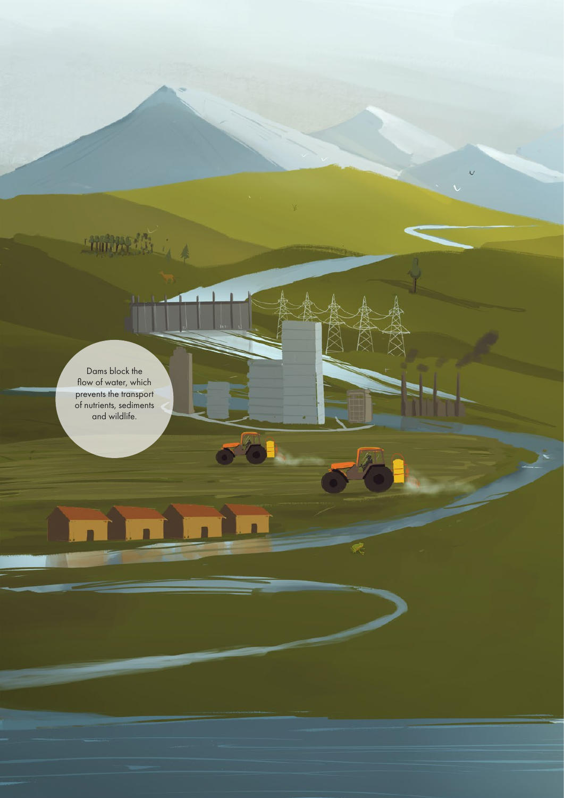Dams block the flow of water, which prevents the transport of nutrients, sediments and wildlife.

Think the

 $\overline{v}$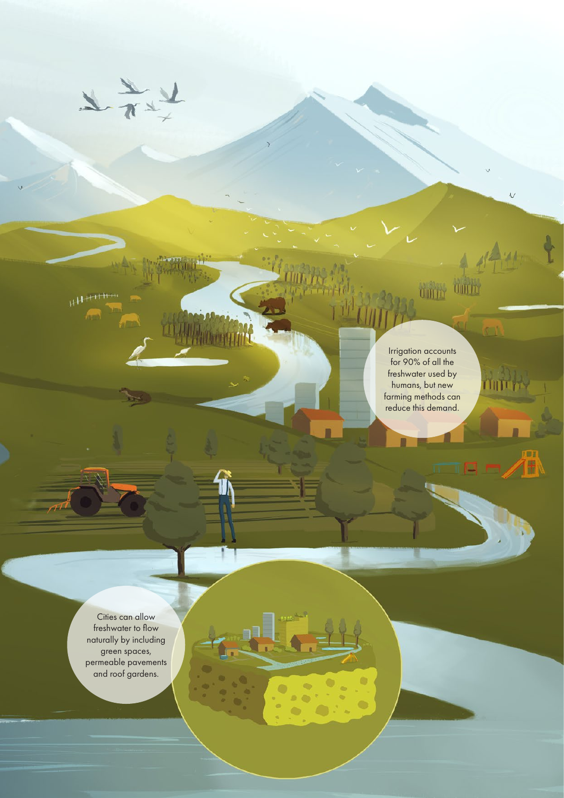Irrigation accounts for 90% of all the freshwater used by humans, but new farming methods can reduce this demand.

6 ø

Ġ

dillo dillo

 $\sqrt{ }$ 

IM

Cities can allow freshwater to flow naturally by including green spaces, permeable pavements and roof gardens.

 $H$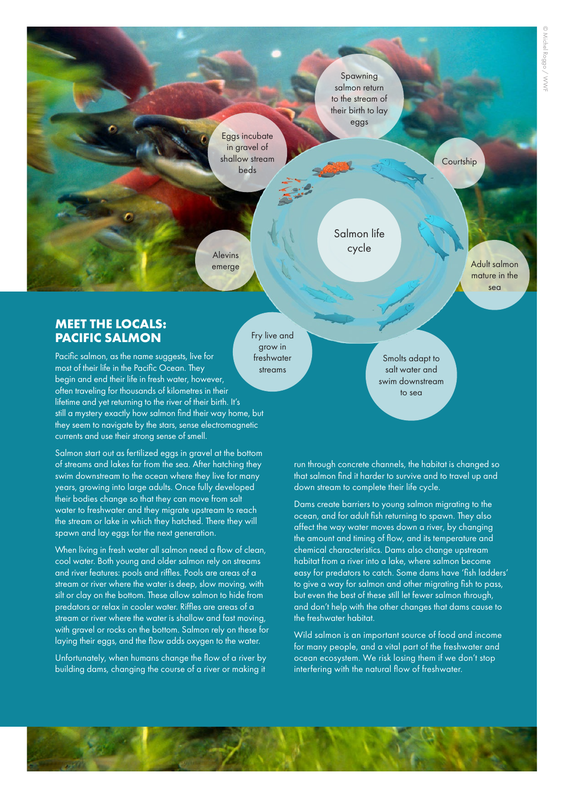to the stream of their birth to lay

Spawning salmon return

eggs

Salmon life cycle

Eggs incubate in gravel of shallow stream beds

**Courtship** 

Adult salmon mature in the sea

Alevins emerge

## **MEET THE LOCALS: PACIFIC SALMON**

Pacific salmon, as the name suggests, live for most of their life in the Pacific Ocean. They begin and end their life in fresh water, however, often traveling for thousands of kilometres in their lifetime and yet returning to the river of their birth. It's still a mystery exactly how salmon find their way home, but they seem to navigate by the stars, sense electromagnetic currents and use their strong sense of smell.

Salmon start out as fertilized eggs in gravel at the bottom of streams and lakes far from the sea. After hatching they swim downstream to the ocean where they live for many years, growing into large adults. Once fully developed their bodies change so that they can move from salt water to freshwater and they migrate upstream to reach the stream or lake in which they hatched. There they will spawn and lay eggs for the next generation.

When living in fresh water all salmon need a flow of clean, cool water. Both young and older salmon rely on streams and river features: pools and riffles. Pools are areas of a stream or river where the water is deep, slow moving, with silt or clay on the bottom. These allow salmon to hide from predators or relax in cooler water. Riffles are areas of a stream or river where the water is shallow and fast moving, with gravel or rocks on the bottom. Salmon rely on these for laying their eggs, and the flow adds oxygen to the water.

Unfortunately, when humans change the flow of a river by building dams, changing the course of a river or making it

Fry live and grow in freshwater streams

Smolts adapt to salt water and swim downstream to sea

run through concrete channels, the habitat is changed so that salmon find it harder to survive and to travel up and down stream to complete their life cycle.

Dams create barriers to young salmon migrating to the ocean, and for adult fish returning to spawn. They also affect the way water moves down a river, by changing the amount and timing of flow, and its temperature and chemical characteristics. Dams also change upstream habitat from a river into a lake, where salmon become easy for predators to catch. Some dams have 'fish ladders' to give a way for salmon and other migrating fish to pass, but even the best of these still let fewer salmon through, and don't help with the other changes that dams cause to the freshwater habitat.

Wild salmon is an important source of food and income for many people, and a vital part of the freshwater and ocean ecosystem. We risk losing them if we don't stop interfering with the natural flow of freshwater.

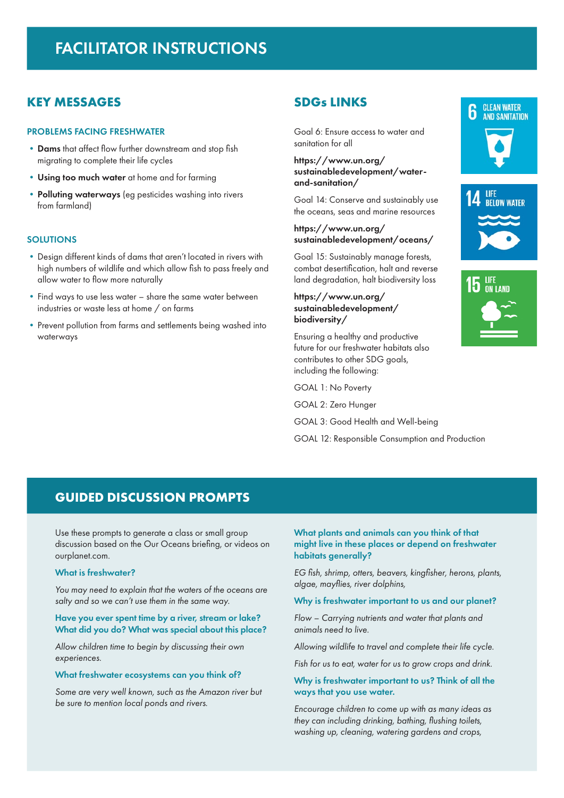## FACILITATOR INSTRUCTIONS

## **KEY MESSAGES**

## PROBLEMS FACING FRESHWATER

- **•**Dams that affect flow further downstream and stop fish migrating to complete their life cycles
- **•**Using too much water at home and for farming
- **•**Polluting waterways (eg pesticides washing into rivers from farmland)

#### **SOLUTIONS**

- **•**Design different kinds of dams that aren't located in rivers with high numbers of wildlife and which allow fish to pass freely and allow water to flow more naturally
- **•**Find ways to use less water share the same water between industries or waste less at home / on farms
- Prevent pollution from farms and settlements being washed into waterways

## **SDGs LINKS**

Goal 6: Ensure access to water and sanitation for all

## https://www.un.org/ sustainabledevelopment/waterand-sanitation/

Goal 14: Conserve and sustainably use the oceans, seas and marine resources

### https://www.un.org/ sustainabledevelopment/oceans/

Goal 15: Sustainably manage forests, combat desertification, halt and reverse land degradation, halt biodiversity loss

## https://www.un.org/ sustainabledevelopment/ biodiversity/

Ensuring a healthy and productive future for our freshwater habitats also contributes to other SDG goals, including the following:

GOAL 1: No Poverty

GOAL 2: Zero Hunger

GOAL 3: Good Health and Well-being

GOAL 12: Responsible Consumption and Production







## **GUIDED DISCUSSION PROMPTS**

Use these prompts to generate a class or small group discussion based on the Our Oceans briefing, or videos on ourplanet.com.

#### What is freshwater?

*You may need to explain that the waters of the oceans are salty and so we can't use them in the same way.*

## Have you ever spent time by a river, stream or lake? What did you do? What was special about this place?

*Allow children time to begin by discussing their own experiences.*

#### What freshwater ecosystems can you think of?

*Some are very well known, such as the Amazon river but be sure to mention local ponds and rivers.* 

## What plants and animals can you think of that might live in these places or depend on freshwater habitats generally?

*EG fish, shrimp, otters, beavers, kingfisher, herons, plants, algae, mayflies, river dolphins,*

#### Why is freshwater important to us and our planet?

*Flow – Carrying nutrients and water that plants and animals need to live.*

*Allowing wildlife to travel and complete their life cycle.*

*Fish for us to eat, water for us to grow crops and drink.*

## Why is freshwater important to us? Think of all the ways that you use water.

*Encourage children to come up with as many ideas as they can including drinking, bathing, flushing toilets, washing up, cleaning, watering gardens and crops,*